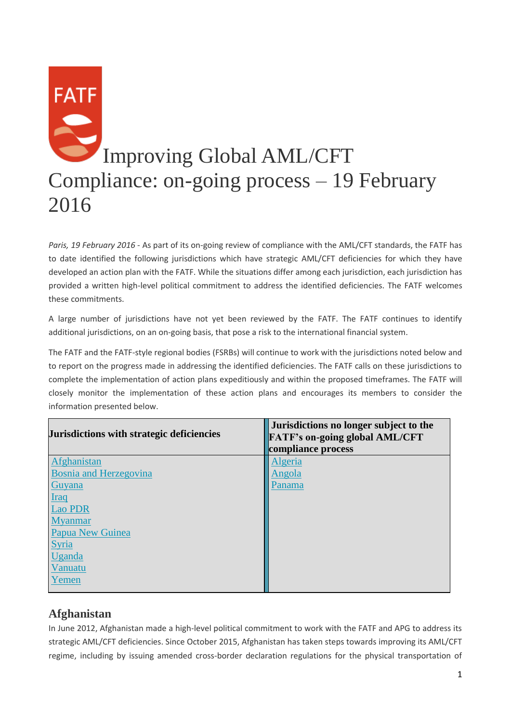# **FATF** Improving Global AML/CFT Compliance: on-going process – 19 February 2016

*Paris, 19 February 2016* - As part of its on-going review of compliance with the AML/CFT standards, the FATF has to date identified the following jurisdictions which have strategic AML/CFT deficiencies for which they have developed an action plan with the FATF. While the situations differ among each jurisdiction, each jurisdiction has provided a written high-level political commitment to address the identified deficiencies. The FATF welcomes these commitments.

A large number of jurisdictions have not yet been reviewed by the FATF. The FATF continues to identify additional jurisdictions, on an on-going basis, that pose a risk to the international financial system.

The FATF and the FATF-style regional bodies (FSRBs) will continue to work with the jurisdictions noted below and to report on the progress made in addressing the identified deficiencies. The FATF calls on these jurisdictions to complete the implementation of action plans expeditiously and within the proposed timeframes. The FATF will closely monitor the implementation of these action plans and encourages its members to consider the information presented below.

| Jurisdictions with strategic deficiencies | Jurisdictions no longer subject to the<br><b>FATF's on-going global AML/CFT</b><br>compliance process |
|-------------------------------------------|-------------------------------------------------------------------------------------------------------|
| Afghanistan                               | Algeria                                                                                               |
| <b>Bosnia and Herzegovina</b>             | Angola                                                                                                |
| Guyana                                    | Panama                                                                                                |
| <b>Iraq</b>                               |                                                                                                       |
| <b>Lao PDR</b>                            |                                                                                                       |
| <b>Myanmar</b>                            |                                                                                                       |
| Papua New Guinea                          |                                                                                                       |
| <b>Syria</b>                              |                                                                                                       |
| Uganda                                    |                                                                                                       |
| Vanuatu                                   |                                                                                                       |
| Yemen                                     |                                                                                                       |
|                                           |                                                                                                       |

# **Afghanistan**

In June 2012, Afghanistan made a high-level political commitment to work with the FATF and APG to address its strategic AML/CFT deficiencies. Since October 2015, Afghanistan has taken steps towards improving its AML/CFT regime, including by issuing amended cross-border declaration regulations for the physical transportation of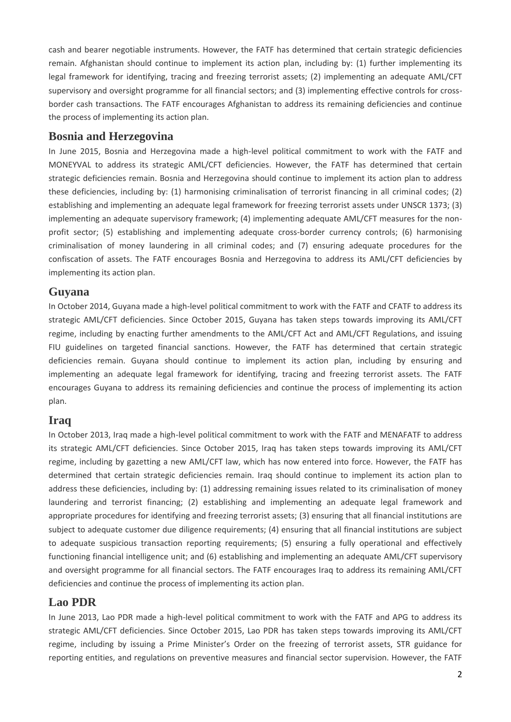cash and bearer negotiable instruments. However, the FATF has determined that certain strategic deficiencies remain. Afghanistan should continue to implement its action plan, including by: (1) further implementing its legal framework for identifying, tracing and freezing terrorist assets; (2) implementing an adequate AML/CFT supervisory and oversight programme for all financial sectors; and (3) implementing effective controls for crossborder cash transactions. The FATF encourages Afghanistan to address its remaining deficiencies and continue the process of implementing its action plan.

#### **Bosnia and Herzegovina**

In June 2015, Bosnia and Herzegovina made a high-level political commitment to work with the FATF and MONEYVAL to address its strategic AML/CFT deficiencies. However, the FATF has determined that certain strategic deficiencies remain. Bosnia and Herzegovina should continue to implement its action plan to address these deficiencies, including by: (1) harmonising criminalisation of terrorist financing in all criminal codes; (2) establishing and implementing an adequate legal framework for freezing terrorist assets under UNSCR 1373; (3) implementing an adequate supervisory framework; (4) implementing adequate AML/CFT measures for the nonprofit sector; (5) establishing and implementing adequate cross-border currency controls; (6) harmonising criminalisation of money laundering in all criminal codes; and (7) ensuring adequate procedures for the confiscation of assets. The FATF encourages Bosnia and Herzegovina to address its AML/CFT deficiencies by implementing its action plan.

#### **Guyana**

In October 2014, Guyana made a high-level political commitment to work with the FATF and CFATF to address its strategic AML/CFT deficiencies. Since October 2015, Guyana has taken steps towards improving its AML/CFT regime, including by enacting further amendments to the AML/CFT Act and AML/CFT Regulations, and issuing FIU guidelines on targeted financial sanctions. However, the FATF has determined that certain strategic deficiencies remain. Guyana should continue to implement its action plan, including by ensuring and implementing an adequate legal framework for identifying, tracing and freezing terrorist assets. The FATF encourages Guyana to address its remaining deficiencies and continue the process of implementing its action plan.

## **Iraq**

In October 2013, Iraq made a high-level political commitment to work with the FATF and MENAFATF to address its strategic AML/CFT deficiencies. Since October 2015, Iraq has taken steps towards improving its AML/CFT regime, including by gazetting a new AML/CFT law, which has now entered into force. However, the FATF has determined that certain strategic deficiencies remain. Iraq should continue to implement its action plan to address these deficiencies, including by: (1) addressing remaining issues related to its criminalisation of money laundering and terrorist financing; (2) establishing and implementing an adequate legal framework and appropriate procedures for identifying and freezing terrorist assets; (3) ensuring that all financial institutions are subject to adequate customer due diligence requirements; (4) ensuring that all financial institutions are subject to adequate suspicious transaction reporting requirements; (5) ensuring a fully operational and effectively functioning financial intelligence unit; and (6) establishing and implementing an adequate AML/CFT supervisory and oversight programme for all financial sectors. The FATF encourages Iraq to address its remaining AML/CFT deficiencies and continue the process of implementing its action plan.

# **Lao PDR**

In June 2013, Lao PDR made a high-level political commitment to work with the FATF and APG to address its strategic AML/CFT deficiencies. Since October 2015, Lao PDR has taken steps towards improving its AML/CFT regime, including by issuing a Prime Minister's Order on the freezing of terrorist assets, STR guidance for reporting entities, and regulations on preventive measures and financial sector supervision. However, the FATF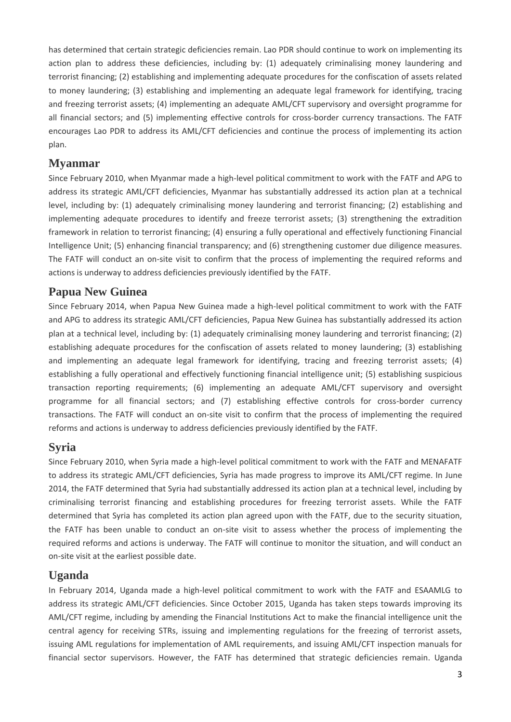has determined that certain strategic deficiencies remain. Lao PDR should continue to work on implementing its action plan to address these deficiencies, including by: (1) adequately criminalising money laundering and terrorist financing; (2) establishing and implementing adequate procedures for the confiscation of assets related to money laundering; (3) establishing and implementing an adequate legal framework for identifying, tracing and freezing terrorist assets; (4) implementing an adequate AML/CFT supervisory and oversight programme for all financial sectors; and (5) implementing effective controls for cross-border currency transactions. The FATF encourages Lao PDR to address its AML/CFT deficiencies and continue the process of implementing its action plan.

#### **Myanmar**

Since February 2010, when Myanmar made a high-level political commitment to work with the FATF and APG to address its strategic AML/CFT deficiencies, Myanmar has substantially addressed its action plan at a technical level, including by: (1) adequately criminalising money laundering and terrorist financing; (2) establishing and implementing adequate procedures to identify and freeze terrorist assets; (3) strengthening the extradition framework in relation to terrorist financing; (4) ensuring a fully operational and effectively functioning Financial Intelligence Unit; (5) enhancing financial transparency; and (6) strengthening customer due diligence measures. The FATF will conduct an on-site visit to confirm that the process of implementing the required reforms and actions is underway to address deficiencies previously identified by the FATF.

#### **Papua New Guinea**

Since February 2014, when Papua New Guinea made a high-level political commitment to work with the FATF and APG to address its strategic AML/CFT deficiencies, Papua New Guinea has substantially addressed its action plan at a technical level, including by: (1) adequately criminalising money laundering and terrorist financing; (2) establishing adequate procedures for the confiscation of assets related to money laundering; (3) establishing and implementing an adequate legal framework for identifying, tracing and freezing terrorist assets; (4) establishing a fully operational and effectively functioning financial intelligence unit; (5) establishing suspicious transaction reporting requirements; (6) implementing an adequate AML/CFT supervisory and oversight programme for all financial sectors; and (7) establishing effective controls for cross-border currency transactions. The FATF will conduct an on-site visit to confirm that the process of implementing the required reforms and actions is underway to address deficiencies previously identified by the FATF.

#### **Syria**

Since February 2010, when Syria made a high-level political commitment to work with the FATF and MENAFATF to address its strategic AML/CFT deficiencies, Syria has made progress to improve its AML/CFT regime. In June 2014, the FATF determined that Syria had substantially addressed its action plan at a technical level, including by criminalising terrorist financing and establishing procedures for freezing terrorist assets. While the FATF determined that Syria has completed its action plan agreed upon with the FATF, due to the security situation, the FATF has been unable to conduct an on-site visit to assess whether the process of implementing the required reforms and actions is underway. The FATF will continue to monitor the situation, and will conduct an on-site visit at the earliest possible date.

## **Uganda**

In February 2014, Uganda made a high-level political commitment to work with the FATF and ESAAMLG to address its strategic AML/CFT deficiencies. Since October 2015, Uganda has taken steps towards improving its AML/CFT regime, including by amending the Financial Institutions Act to make the financial intelligence unit the central agency for receiving STRs, issuing and implementing regulations for the freezing of terrorist assets, issuing AML regulations for implementation of AML requirements, and issuing AML/CFT inspection manuals for financial sector supervisors. However, the FATF has determined that strategic deficiencies remain. Uganda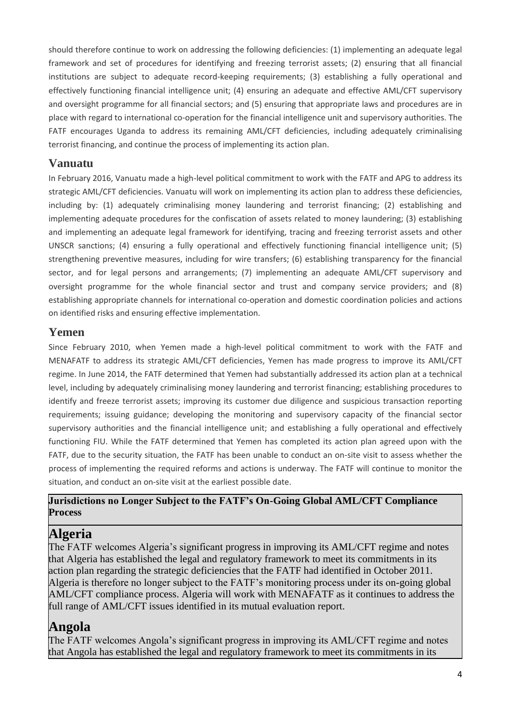should therefore continue to work on addressing the following deficiencies: (1) implementing an adequate legal framework and set of procedures for identifying and freezing terrorist assets; (2) ensuring that all financial institutions are subject to adequate record-keeping requirements; (3) establishing a fully operational and effectively functioning financial intelligence unit; (4) ensuring an adequate and effective AML/CFT supervisory and oversight programme for all financial sectors; and (5) ensuring that appropriate laws and procedures are in place with regard to international co-operation for the financial intelligence unit and supervisory authorities. The FATF encourages Uganda to address its remaining AML/CFT deficiencies, including adequately criminalising terrorist financing, and continue the process of implementing its action plan.

## **Vanuatu**

In February 2016, Vanuatu made a high-level political commitment to work with the FATF and APG to address its strategic AML/CFT deficiencies. Vanuatu will work on implementing its action plan to address these deficiencies, including by: (1) adequately criminalising money laundering and terrorist financing; (2) establishing and implementing adequate procedures for the confiscation of assets related to money laundering; (3) establishing and implementing an adequate legal framework for identifying, tracing and freezing terrorist assets and other UNSCR sanctions; (4) ensuring a fully operational and effectively functioning financial intelligence unit; (5) strengthening preventive measures, including for wire transfers; (6) establishing transparency for the financial sector, and for legal persons and arrangements; (7) implementing an adequate AML/CFT supervisory and oversight programme for the whole financial sector and trust and company service providers; and (8) establishing appropriate channels for international co-operation and domestic coordination policies and actions on identified risks and ensuring effective implementation.

#### **Yemen**

Since February 2010, when Yemen made a high-level political commitment to work with the FATF and MENAFATF to address its strategic AML/CFT deficiencies, Yemen has made progress to improve its AML/CFT regime. In June 2014, the FATF determined that Yemen had substantially addressed its action plan at a technical level, including by adequately criminalising money laundering and terrorist financing; establishing procedures to identify and freeze terrorist assets; improving its customer due diligence and suspicious transaction reporting requirements; issuing guidance; developing the monitoring and supervisory capacity of the financial sector supervisory authorities and the financial intelligence unit; and establishing a fully operational and effectively functioning FIU. While the FATF determined that Yemen has completed its action plan agreed upon with the FATF, due to the security situation, the FATF has been unable to conduct an on-site visit to assess whether the process of implementing the required reforms and actions is underway. The FATF will continue to monitor the situation, and conduct an on-site visit at the earliest possible date.

#### **Jurisdictions no Longer Subject to the FATF's On-Going Global AML/CFT Compliance Process**

# **Algeria**

The FATF welcomes Algeria's significant progress in improving its AML/CFT regime and notes that Algeria has established the legal and regulatory framework to meet its commitments in its action plan regarding the strategic deficiencies that the FATF had identified in October 2011. Algeria is therefore no longer subject to the FATF's monitoring process under its on-going global AML/CFT compliance process. Algeria will work with MENAFATF as it continues to address the full range of AML/CFT issues identified in its mutual evaluation report.

# **Angola**

The FATF welcomes Angola's significant progress in improving its AML/CFT regime and notes that Angola has established the legal and regulatory framework to meet its commitments in its